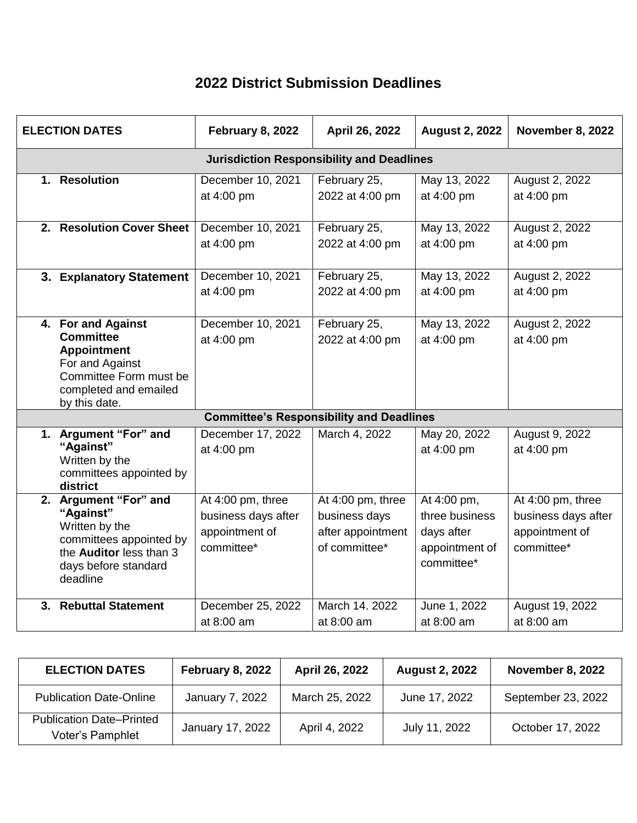## **2022 District Submission Deadlines**

| <b>ELECTION DATES</b>                            |                                                                                                                                                       | <b>February 8, 2022</b>                                                  | April 26, 2022                                                           | <b>August 2, 2022</b>                                                       | November 8, 2022                                                         |  |  |  |
|--------------------------------------------------|-------------------------------------------------------------------------------------------------------------------------------------------------------|--------------------------------------------------------------------------|--------------------------------------------------------------------------|-----------------------------------------------------------------------------|--------------------------------------------------------------------------|--|--|--|
| <b>Jurisdiction Responsibility and Deadlines</b> |                                                                                                                                                       |                                                                          |                                                                          |                                                                             |                                                                          |  |  |  |
|                                                  | 1. Resolution                                                                                                                                         | December 10, 2021<br>at 4:00 pm                                          | February 25,<br>2022 at 4:00 pm                                          | May 13, 2022<br>at 4:00 pm                                                  | August 2, 2022<br>at 4:00 pm                                             |  |  |  |
|                                                  | 2. Resolution Cover Sheet                                                                                                                             | December 10, 2021<br>at 4:00 pm                                          | February 25,<br>2022 at 4:00 pm                                          | May 13, 2022<br>at 4:00 pm                                                  | August 2, 2022<br>at 4:00 pm                                             |  |  |  |
|                                                  | 3. Explanatory Statement                                                                                                                              | December 10, 2021<br>at 4:00 pm                                          | February 25,<br>2022 at 4:00 pm                                          | May 13, 2022<br>at 4:00 pm                                                  | August 2, 2022<br>at 4:00 pm                                             |  |  |  |
|                                                  | 4. For and Against<br><b>Committee</b><br><b>Appointment</b><br>For and Against<br>Committee Form must be<br>completed and emailed<br>by this date.   | December 10, 2021<br>at 4:00 pm                                          | February 25,<br>2022 at 4:00 pm                                          | May 13, 2022<br>at 4:00 pm                                                  | August 2, 2022<br>at 4:00 pm                                             |  |  |  |
| <b>Committee's Responsibility and Deadlines</b>  |                                                                                                                                                       |                                                                          |                                                                          |                                                                             |                                                                          |  |  |  |
|                                                  | 1. Argument "For" and<br>"Against"<br>Written by the<br>committees appointed by<br>district                                                           | December 17, 2022<br>at 4:00 pm                                          | March 4, 2022                                                            | May 20, 2022<br>at 4:00 pm                                                  | August 9, 2022<br>at 4:00 pm                                             |  |  |  |
|                                                  | 2. Argument "For" and<br>"Against"<br>Written by the<br>committees appointed by<br>the <b>Auditor</b> less than 3<br>days before standard<br>deadline | At 4:00 pm, three<br>business days after<br>appointment of<br>committee* | At 4:00 pm, three<br>business days<br>after appointment<br>of committee* | At 4:00 pm,<br>three business<br>days after<br>appointment of<br>committee* | At 4:00 pm, three<br>business days after<br>appointment of<br>committee* |  |  |  |
|                                                  | 3. Rebuttal Statement                                                                                                                                 | December 25, 2022<br>at 8:00 am                                          | March 14, 2022<br>at 8:00 am                                             | June 1, 2022<br>at 8:00 am                                                  | August 19, 2022<br>at 8:00 am                                            |  |  |  |

| <b>ELECTION DATES</b>                               | February 8, 2022 | April 26, 2022 | <b>August 2, 2022</b> | <b>November 8, 2022</b> |
|-----------------------------------------------------|------------------|----------------|-----------------------|-------------------------|
| <b>Publication Date-Online</b>                      | January 7, 2022  | March 25, 2022 | June 17, 2022         | September 23, 2022      |
| <b>Publication Date-Printed</b><br>Voter's Pamphlet | January 17, 2022 | April 4, 2022  | July 11, 2022         | October 17, 2022        |